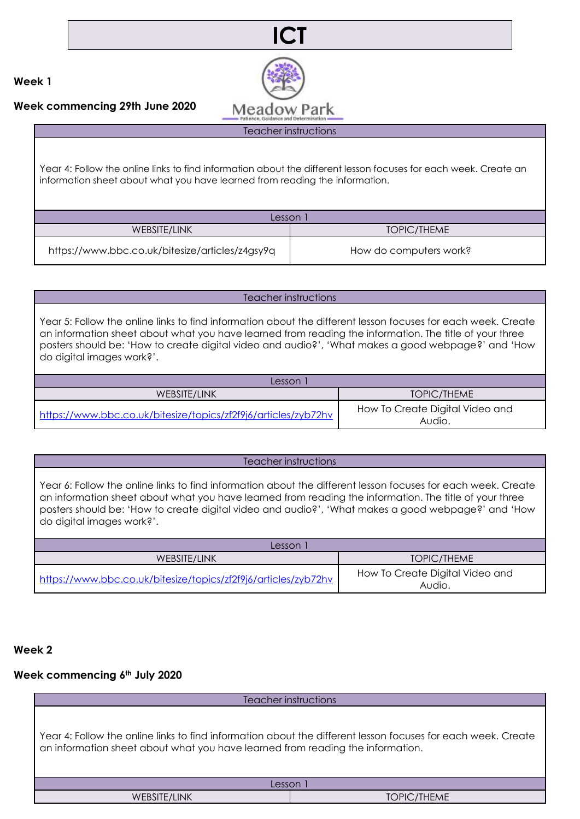



**Week commencing 29th June 2020**

Teacher instructions

Year 4: Follow the online links to find information about the different lesson focuses for each week. Create an information sheet about what you have learned from reading the information.

| Lesson                                          |                        |  |
|-------------------------------------------------|------------------------|--|
| WEBSITE/LINK                                    | TOPIC/THEME            |  |
| https://www.bbc.co.uk/bitesize/articles/z4gsy9q | How do computers work? |  |

## Teacher instructions

Year 5: Follow the online links to find information about the different lesson focuses for each week. Create an information sheet about what you have learned from reading the information. The title of your three posters should be: 'How to create digital video and audio?', 'What makes a good webpage?' and 'How do digital images work?'.

| Lesson                                                         |                                           |
|----------------------------------------------------------------|-------------------------------------------|
| WEBSITE/LINK                                                   | TOPIC/THEME                               |
| https://www.bbc.co.uk/bitesize/topics/zf2f9j6/articles/zyb72hv | How To Create Digital Video and<br>Audio. |

### Teacher instructions

Year 6: Follow the online links to find information about the different lesson focuses for each week. Create an information sheet about what you have learned from reading the information. The title of your three posters should be: 'How to create digital video and audio?', 'What makes a good webpage?' and 'How do digital images work?'.

| Lesson                                                         |                                           |
|----------------------------------------------------------------|-------------------------------------------|
| WEBSITE/LINK                                                   | TOPIC/THEME                               |
| https://www.bbc.co.uk/bitesize/topics/zf2f9j6/articles/zyb72hv | How To Create Digital Video and<br>Audio. |

## **Week 2**

## **Week commencing 6th July 2020**

Teacher instructions Year 4: Follow the online links to find information about the different lesson focuses for each week. Create an information sheet about what you have learned from reading the information. Lesson 1 WEBSITE/LINK TOPIC/THEME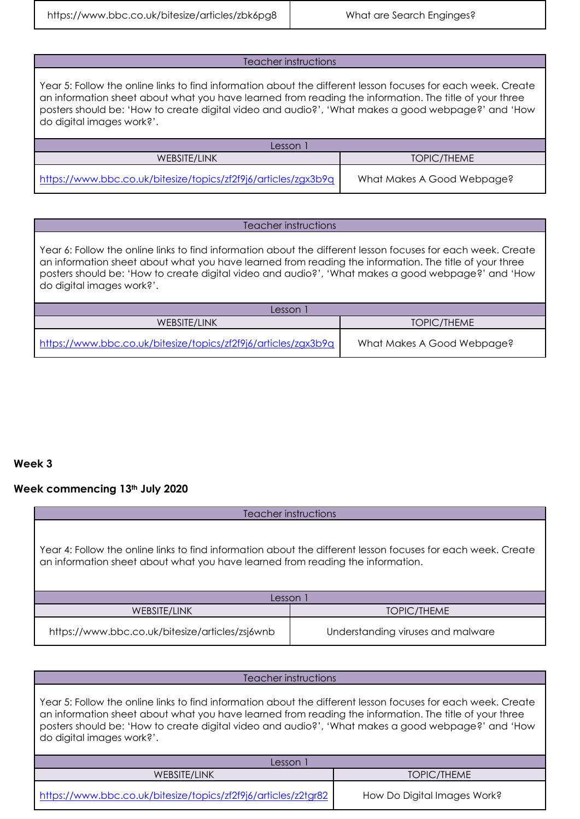https://www.bbc.co.uk/bitesize/articles/zbk6pg8 | What are Search Enginges?

### Teacher instructions

Year 5: Follow the online links to find information about the different lesson focuses for each week. Create an information sheet about what you have learned from reading the information. The title of your three posters should be: 'How to create digital video and audio?', 'What makes a good webpage?' and 'How do digital images work?'.

| esson                                                          |                            |
|----------------------------------------------------------------|----------------------------|
| WEBSITE/LINK                                                   | TOPIC/THEME                |
| https://www.bbc.co.uk/bitesize/topics/zf2f9j6/articles/zgx3b9q | What Makes A Good Webpage? |

#### Teacher instructions

Year 6: Follow the online links to find information about the different lesson focuses for each week. Create an information sheet about what you have learned from reading the information. The title of your three posters should be: 'How to create digital video and audio?', 'What makes a good webpage?' and 'How do digital images work?'.

| Lesson                                                         |                            |
|----------------------------------------------------------------|----------------------------|
| WEBSITE/LINK                                                   | TOPIC/THEME                |
| https://www.bbc.co.uk/bitesize/topics/zf2f9j6/articles/zgx3b9q | What Makes A Good Webpage? |

# **Week 3**

## **Week commencing 13th July 2020**

| Teacher instructions                                                                                                                                                                           |                                   |  |
|------------------------------------------------------------------------------------------------------------------------------------------------------------------------------------------------|-----------------------------------|--|
| Year 4: Follow the online links to find information about the different lesson focuses for each week. Create<br>an information sheet about what you have learned from reading the information. |                                   |  |
| Lesson 1                                                                                                                                                                                       |                                   |  |
| WEBSITE/LINK                                                                                                                                                                                   | TOPIC/THEME                       |  |
| https://www.bbc.co.uk/bitesize/articles/zsj6wnb                                                                                                                                                | Understanding viruses and malware |  |

| Teacher instructions                                                                                                                                                                                                                                                                                                                                      |                             |  |
|-----------------------------------------------------------------------------------------------------------------------------------------------------------------------------------------------------------------------------------------------------------------------------------------------------------------------------------------------------------|-----------------------------|--|
| Year 5: Follow the online links to find information about the different lesson focuses for each week. Create<br>an information sheet about what you have learned from reading the information. The title of your three<br>posters should be: 'How to create digital video and audio?', 'What makes a good webpage?' and 'How<br>do digital images work?'. |                             |  |
| Lesson 1                                                                                                                                                                                                                                                                                                                                                  |                             |  |
| WEBSITE/LINK                                                                                                                                                                                                                                                                                                                                              | TOPIC/THEME                 |  |
| https://www.bbc.co.uk/bitesize/topics/zf2f9j6/articles/z2tgr82                                                                                                                                                                                                                                                                                            | How Do Digital Images Work? |  |